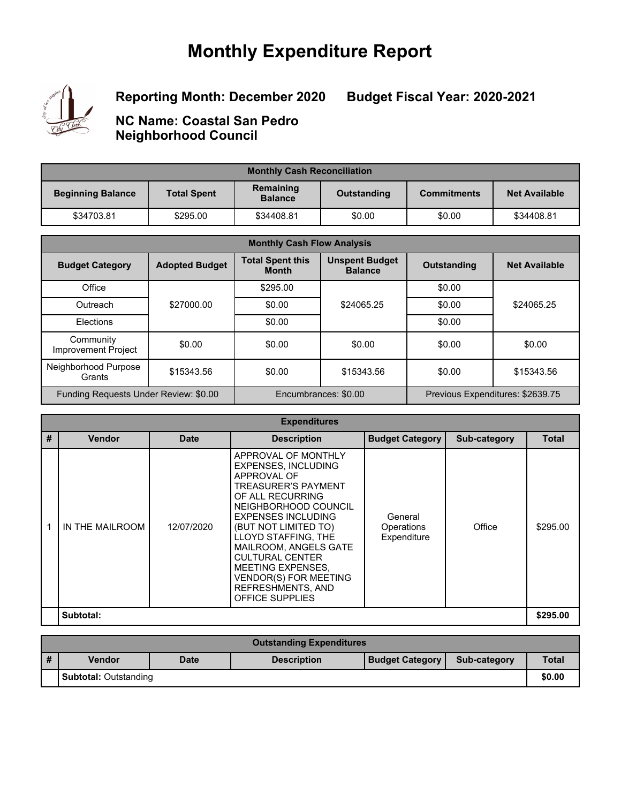# **Monthly Expenditure Report**



**Reporting Month: December 2020**

**Budget Fiscal Year: 2020-2021**

**NC Name: Coastal San Pedro Neighborhood Council**

| <b>Monthly Cash Reconciliation</b> |                    |                             |             |                    |                      |  |
|------------------------------------|--------------------|-----------------------------|-------------|--------------------|----------------------|--|
| <b>Beginning Balance</b>           | <b>Total Spent</b> | Remaining<br><b>Balance</b> | Outstanding | <b>Commitments</b> | <b>Net Available</b> |  |
| \$34703.81                         | \$295.00           | \$34408.81                  | \$0.00      | \$0.00             | \$34408.81           |  |

| <b>Monthly Cash Flow Analysis</b>       |                       |                                         |                                                          |                    |                      |
|-----------------------------------------|-----------------------|-----------------------------------------|----------------------------------------------------------|--------------------|----------------------|
| <b>Budget Category</b>                  | <b>Adopted Budget</b> | <b>Total Spent this</b><br><b>Month</b> | <b>Unspent Budget</b><br><b>Balance</b>                  | <b>Outstanding</b> | <b>Net Available</b> |
| Office                                  |                       | \$295.00                                |                                                          | \$0.00             |                      |
| Outreach                                | \$27000.00            | \$0.00                                  | \$24065.25                                               | \$0.00             | \$24065.25           |
| Elections                               |                       | \$0.00                                  |                                                          | \$0.00             |                      |
| Community<br><b>Improvement Project</b> | \$0.00                | \$0.00                                  | \$0.00                                                   | \$0.00             | \$0.00               |
| Neighborhood Purpose<br>Grants          | \$15343.56            | \$0.00                                  | \$15343.56                                               | \$0.00             | \$15343.56           |
| Funding Requests Under Review: \$0.00   |                       |                                         | Encumbrances: \$0.00<br>Previous Expenditures: \$2639.75 |                    |                      |

| <b>Expenditures</b> |                 |             |                                                                                                                                                                                                                                                                                                                                                                               |                                      |              |              |  |
|---------------------|-----------------|-------------|-------------------------------------------------------------------------------------------------------------------------------------------------------------------------------------------------------------------------------------------------------------------------------------------------------------------------------------------------------------------------------|--------------------------------------|--------------|--------------|--|
| #                   | <b>Vendor</b>   | <b>Date</b> | <b>Description</b>                                                                                                                                                                                                                                                                                                                                                            | <b>Budget Category</b>               | Sub-category | <b>Total</b> |  |
|                     | IN THE MAILROOM | 12/07/2020  | APPROVAL OF MONTHLY<br><b>EXPENSES, INCLUDING</b><br>APPROVAL OF<br><b>TREASURER'S PAYMENT</b><br>OF ALL RECURRING<br>NEIGHBORHOOD COUNCIL<br><b>EXPENSES INCLUDING</b><br>(BUT NOT LIMITED TO)<br>LLOYD STAFFING, THE<br>MAILROOM, ANGELS GATE<br><b>CULTURAL CENTER</b><br>MEETING EXPENSES.<br><b>VENDOR(S) FOR MEETING</b><br>REFRESHMENTS, AND<br><b>OFFICE SUPPLIES</b> | General<br>Operations<br>Expenditure | Office       | \$295.00     |  |
|                     | Subtotal:       |             |                                                                                                                                                                                                                                                                                                                                                                               |                                      |              | \$295.00     |  |

|                              | <b>Outstanding Expenditures</b> |             |                    |                        |              |              |  |
|------------------------------|---------------------------------|-------------|--------------------|------------------------|--------------|--------------|--|
| #                            | <b>Vendor</b>                   | <b>Date</b> | <b>Description</b> | <b>Budget Category</b> | Sub-category | <b>Total</b> |  |
| <b>Subtotal: Outstanding</b> |                                 |             |                    |                        |              | \$0.00       |  |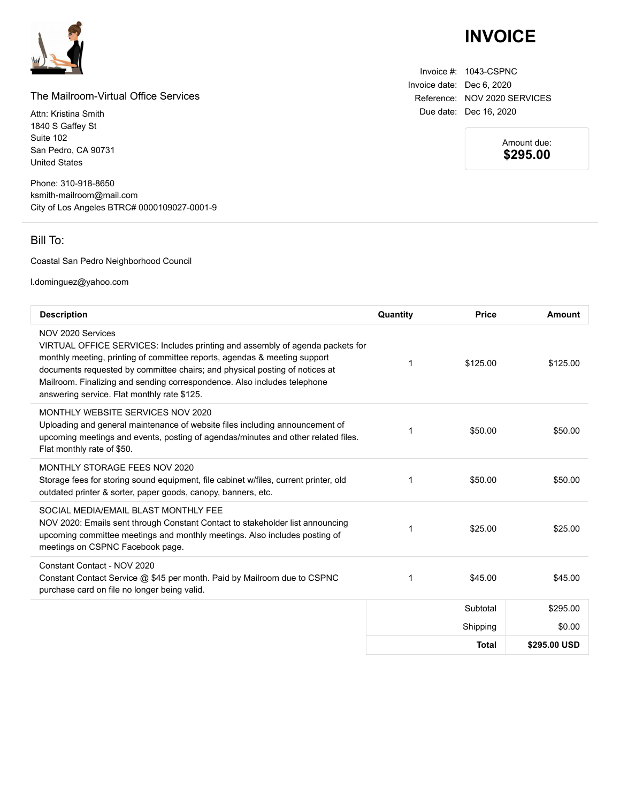

### The Mailroom-Virtual Office Services

Attn: Kristina Smith 1840 S Gaffey St Suite 102 San Pedro, CA 90731 United States

Phone: 310-918-8650 ksmith-mailroom@mail.com City of Los Angeles BTRC# 0000109027-0001-9

### Bill To:

#### Coastal San Pedro Neighborhood Council

l.dominguez@yahoo.com

| <b>Description</b>                                                                                                                                                                                                                                                                                                                                                                        | Quantity | <b>Price</b> | Amount       |
|-------------------------------------------------------------------------------------------------------------------------------------------------------------------------------------------------------------------------------------------------------------------------------------------------------------------------------------------------------------------------------------------|----------|--------------|--------------|
| NOV 2020 Services<br>VIRTUAL OFFICE SERVICES: Includes printing and assembly of agenda packets for<br>monthly meeting, printing of committee reports, agendas & meeting support<br>documents requested by committee chairs; and physical posting of notices at<br>Mailroom. Finalizing and sending correspondence. Also includes telephone<br>answering service. Flat monthly rate \$125. | 1        | \$125.00     | \$125.00     |
| MONTHLY WEBSITE SERVICES NOV 2020<br>Uploading and general maintenance of website files including announcement of<br>upcoming meetings and events, posting of agendas/minutes and other related files.<br>Flat monthly rate of \$50.                                                                                                                                                      | 1        | \$50.00      | \$50.00      |
| MONTHLY STORAGE FEES NOV 2020<br>Storage fees for storing sound equipment, file cabinet w/files, current printer, old<br>outdated printer & sorter, paper goods, canopy, banners, etc.                                                                                                                                                                                                    | 1        | \$50.00      | \$50.00      |
| SOCIAL MEDIA/EMAIL BLAST MONTHLY FEE<br>NOV 2020: Emails sent through Constant Contact to stakeholder list announcing<br>upcoming committee meetings and monthly meetings. Also includes posting of<br>meetings on CSPNC Facebook page.                                                                                                                                                   | 1        | \$25.00      | \$25.00      |
| Constant Contact - NOV 2020<br>Constant Contact Service @ \$45 per month. Paid by Mailroom due to CSPNC<br>purchase card on file no longer being valid.                                                                                                                                                                                                                                   | 1        | \$45.00      | \$45.00      |
|                                                                                                                                                                                                                                                                                                                                                                                           |          | Subtotal     | \$295.00     |
|                                                                                                                                                                                                                                                                                                                                                                                           |          | Shipping     | \$0.00       |
|                                                                                                                                                                                                                                                                                                                                                                                           |          | <b>Total</b> | \$295.00 USD |

## **INVOICE**

Invoice #: 1043-CSPNC Invoice date: Dec 6, 2020 Reference: NOV 2020 SERVICES Due date: Dec 16, 2020

> Amount due: **\$295.00**